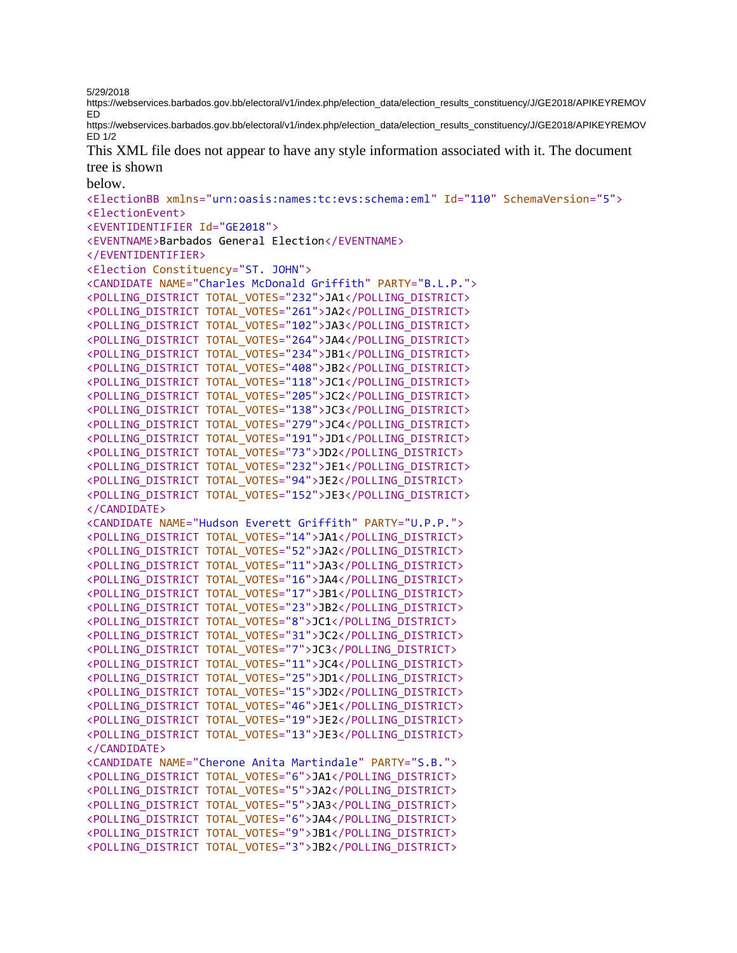5/29/2018

https://webservices.barbados.gov.bb/electoral/v1/index.php/election\_data/election\_results\_constituency/J/GE2018/APIKEYREMOV ED

https://webservices.barbados.gov.bb/electoral/v1/index.php/election\_data/election\_results\_constituency/J/GE2018/APIKEYREMOV ED 1/2

This XML file does not appear to have any style information associated with it. The document tree is shown

below.

<ElectionBB xmlns="urn:oasis:names:tc:evs:schema:eml" Id="110" SchemaVersion="5"> <ElectionEvent> <EVENTIDENTIFIER Id="GE2018"> <EVENTNAME>Barbados General Election</EVENTNAME> </EVENTIDENTIFIER> <Election Constituency="ST. JOHN"> <CANDIDATE NAME="Charles McDonald Griffith" PARTY="B.L.P."> <POLLING\_DISTRICT TOTAL\_VOTES="232">JA1</POLLING\_DISTRICT> <POLLING\_DISTRICT TOTAL\_VOTES="261">JA2</POLLING\_DISTRICT> <POLLING\_DISTRICT TOTAL\_VOTES="102">JA3</POLLING\_DISTRICT> <POLLING\_DISTRICT TOTAL\_VOTES="264">JA4</POLLING\_DISTRICT> <POLLING\_DISTRICT TOTAL\_VOTES="234">JB1</POLLING\_DISTRICT> <POLLING\_DISTRICT TOTAL\_VOTES="408">JB2</POLLING\_DISTRICT> <POLLING\_DISTRICT TOTAL\_VOTES="118">JC1</POLLING\_DISTRICT> <POLLING\_DISTRICT TOTAL\_VOTES="205">JC2</POLLING\_DISTRICT> <POLLING\_DISTRICT TOTAL\_VOTES="138">JC3</POLLING\_DISTRICT> <POLLING\_DISTRICT TOTAL\_VOTES="279">JC4</POLLING\_DISTRICT> <POLLING\_DISTRICT TOTAL\_VOTES="191">JD1</POLLING\_DISTRICT> <POLLING\_DISTRICT TOTAL\_VOTES="73">JD2</POLLING\_DISTRICT> <POLLING\_DISTRICT TOTAL\_VOTES="232">JE1</POLLING\_DISTRICT> <POLLING\_DISTRICT TOTAL\_VOTES="94">JE2</POLLING\_DISTRICT> <POLLING\_DISTRICT TOTAL\_VOTES="152">JE3</POLLING\_DISTRICT> </CANDIDATE> <CANDIDATE NAME="Hudson Everett Griffith" PARTY="U.P.P."> <POLLING\_DISTRICT TOTAL\_VOTES="14">JA1</POLLING\_DISTRICT> <POLLING\_DISTRICT TOTAL\_VOTES="52">JA2</POLLING\_DISTRICT> <POLLING\_DISTRICT TOTAL\_VOTES="11">JA3</POLLING\_DISTRICT> <POLLING\_DISTRICT TOTAL\_VOTES="16">JA4</POLLING\_DISTRICT> <POLLING\_DISTRICT TOTAL\_VOTES="17">JB1</POLLING\_DISTRICT> <POLLING\_DISTRICT TOTAL\_VOTES="23">JB2</POLLING\_DISTRICT> <POLLING\_DISTRICT TOTAL\_VOTES="8">JC1</POLLING\_DISTRICT> <POLLING\_DISTRICT TOTAL\_VOTES="31">JC2</POLLING\_DISTRICT> <POLLING\_DISTRICT TOTAL\_VOTES="7">JC3</POLLING\_DISTRICT> <POLLING\_DISTRICT TOTAL\_VOTES="11">JC4</POLLING\_DISTRICT> <POLLING\_DISTRICT TOTAL\_VOTES="25">JD1</POLLING\_DISTRICT> <POLLING\_DISTRICT TOTAL\_VOTES="15">JD2</POLLING\_DISTRICT> <POLLING\_DISTRICT TOTAL\_VOTES="46">JE1</POLLING\_DISTRICT> <POLLING\_DISTRICT TOTAL\_VOTES="19">JE2</POLLING\_DISTRICT> <POLLING\_DISTRICT TOTAL\_VOTES="13">JE3</POLLING\_DISTRICT> </CANDIDATE> <CANDIDATE NAME="Cherone Anita Martindale" PARTY="S.B."> <POLLING\_DISTRICT TOTAL\_VOTES="6">JA1</POLLING\_DISTRICT> <POLLING\_DISTRICT TOTAL\_VOTES="5">JA2</POLLING\_DISTRICT> <POLLING\_DISTRICT TOTAL\_VOTES="5">JA3</POLLING\_DISTRICT> <POLLING\_DISTRICT TOTAL\_VOTES="6">JA4</POLLING\_DISTRICT> <POLLING\_DISTRICT TOTAL\_VOTES="9">JB1</POLLING\_DISTRICT> <POLLING\_DISTRICT TOTAL\_VOTES="3">JB2</POLLING\_DISTRICT>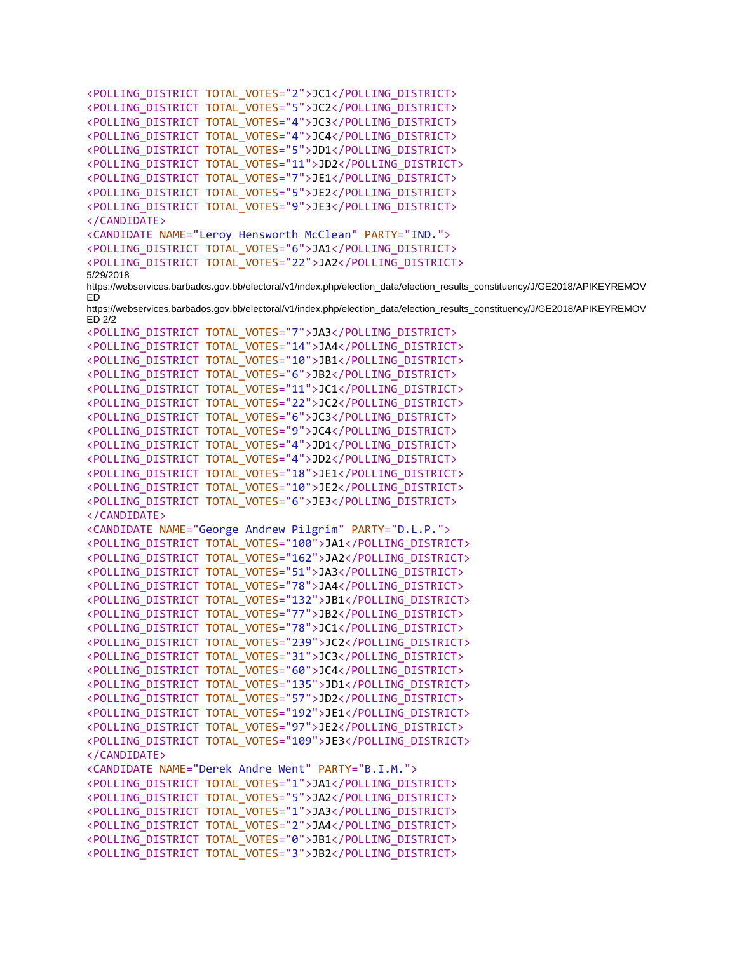```
<POLLING_DISTRICT TOTAL_VOTES="2">JC1</POLLING_DISTRICT>
<POLLING_DISTRICT TOTAL_VOTES="5">JC2</POLLING_DISTRICT>
<POLLING_DISTRICT TOTAL_VOTES="4">JC3</POLLING_DISTRICT>
<POLLING_DISTRICT TOTAL_VOTES="4">JC4</POLLING_DISTRICT>
<POLLING_DISTRICT TOTAL_VOTES="5">JD1</POLLING_DISTRICT>
<POLLING_DISTRICT TOTAL_VOTES="11">JD2</POLLING_DISTRICT>
<POLLING_DISTRICT TOTAL_VOTES="7">JE1</POLLING_DISTRICT>
<POLLING_DISTRICT TOTAL_VOTES="5">JE2</POLLING_DISTRICT>
<POLLING_DISTRICT TOTAL_VOTES="9">JE3</POLLING_DISTRICT>
</CANDIDATE>
<CANDIDATE NAME="Leroy Hensworth McClean" PARTY="IND.">
<POLLING_DISTRICT TOTAL_VOTES="6">JA1</POLLING_DISTRICT>
<POLLING_DISTRICT TOTAL_VOTES="22">JA2</POLLING_DISTRICT>
5/29/2018 
https://webservices.barbados.gov.bb/electoral/v1/index.php/election_data/election_results_constituency/J/GE2018/APIKEYREMOV
ED
https://webservices.barbados.gov.bb/electoral/v1/index.php/election_data/election_results_constituency/J/GE2018/APIKEYREMOV
ED 2/2
<POLLING_DISTRICT TOTAL_VOTES="7">JA3</POLLING_DISTRICT>
<POLLING_DISTRICT TOTAL_VOTES="14">JA4</POLLING_DISTRICT>
<POLLING_DISTRICT TOTAL_VOTES="10">JB1</POLLING_DISTRICT>
<POLLING_DISTRICT TOTAL_VOTES="6">JB2</POLLING_DISTRICT>
<POLLING_DISTRICT TOTAL_VOTES="11">JC1</POLLING_DISTRICT>
<POLLING_DISTRICT TOTAL_VOTES="22">JC2</POLLING_DISTRICT>
<POLLING_DISTRICT TOTAL_VOTES="6">JC3</POLLING_DISTRICT>
<POLLING_DISTRICT TOTAL_VOTES="9">JC4</POLLING_DISTRICT>
<POLLING_DISTRICT TOTAL_VOTES="4">JD1</POLLING_DISTRICT>
<POLLING_DISTRICT TOTAL_VOTES="4">JD2</POLLING_DISTRICT>
<POLLING_DISTRICT TOTAL_VOTES="18">JE1</POLLING_DISTRICT>
<POLLING_DISTRICT TOTAL_VOTES="10">JE2</POLLING_DISTRICT>
<POLLING_DISTRICT TOTAL_VOTES="6">JE3</POLLING_DISTRICT>
</CANDIDATE>
<CANDIDATE NAME="George Andrew Pilgrim" PARTY="D.L.P.">
<POLLING_DISTRICT TOTAL_VOTES="100">JA1</POLLING_DISTRICT>
<POLLING_DISTRICT TOTAL_VOTES="162">JA2</POLLING_DISTRICT>
<POLLING_DISTRICT TOTAL_VOTES="51">JA3</POLLING_DISTRICT>
<POLLING_DISTRICT TOTAL_VOTES="78">JA4</POLLING_DISTRICT>
<POLLING_DISTRICT TOTAL_VOTES="132">JB1</POLLING_DISTRICT>
<POLLING_DISTRICT TOTAL_VOTES="77">JB2</POLLING_DISTRICT>
<POLLING_DISTRICT TOTAL_VOTES="78">JC1</POLLING_DISTRICT>
<POLLING_DISTRICT TOTAL_VOTES="239">JC2</POLLING_DISTRICT>
<POLLING_DISTRICT TOTAL_VOTES="31">JC3</POLLING_DISTRICT>
<POLLING_DISTRICT TOTAL_VOTES="60">JC4</POLLING_DISTRICT>
<POLLING_DISTRICT TOTAL_VOTES="135">JD1</POLLING_DISTRICT>
<POLLING_DISTRICT TOTAL_VOTES="57">JD2</POLLING_DISTRICT>
<POLLING_DISTRICT TOTAL_VOTES="192">JE1</POLLING_DISTRICT>
<POLLING_DISTRICT TOTAL_VOTES="97">JE2</POLLING_DISTRICT>
<POLLING_DISTRICT TOTAL_VOTES="109">JE3</POLLING_DISTRICT>
</CANDIDATE>
<CANDIDATE NAME="Derek Andre Went" PARTY="B.I.M.">
<POLLING_DISTRICT TOTAL_VOTES="1">JA1</POLLING_DISTRICT>
<POLLING_DISTRICT TOTAL_VOTES="5">JA2</POLLING_DISTRICT>
<POLLING_DISTRICT TOTAL_VOTES="1">JA3</POLLING_DISTRICT>
<POLLING_DISTRICT TOTAL_VOTES="2">JA4</POLLING_DISTRICT>
<POLLING_DISTRICT TOTAL_VOTES="0">JB1</POLLING_DISTRICT>
<POLLING_DISTRICT TOTAL_VOTES="3">JB2</POLLING_DISTRICT>
```